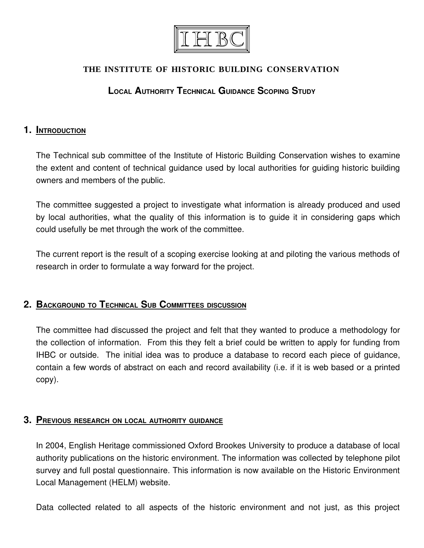

### **THE INSTITUTE OF HISTORIC BUILDING CONSERVATION**

## **LOCAL AUTHORITY TECHNICAL GUIDANCE SCOPING STUDY**

### **1. INTRODUCTION**

The Technical sub committee of the Institute of Historic Building Conservation wishes to examine the extent and content of technical guidance used by local authorities for guiding historic building owners and members of the public.

The committee suggested a project to investigate what information is already produced and used by local authorities, what the quality of this information is to guide it in considering gaps which could usefully be met through the work of the committee.

The current report is the result of a scoping exercise looking at and piloting the various methods of research in order to formulate a way forward for the project.

### **2. BACKGROUND TO TECHNICAL SUB COMMITTEES DISCUSSION**

The committee had discussed the project and felt that they wanted to produce a methodology for the collection of information. From this they felt a brief could be written to apply for funding from IHBC or outside. The initial idea was to produce a database to record each piece of guidance, contain a few words of abstract on each and record availability (i.e. if it is web based or a printed copy).

#### **3. PREVIOUS RESEARCH ON LOCAL AUTHORITY GUIDANCE**

In 2004, English Heritage commissioned Oxford Brookes University to produce a database of local authority publications on the historic environment. The information was collected by telephone pilot survey and full postal questionnaire. This information is now available on the Historic Environment Local Management (HELM) website.

Data collected related to all aspects of the historic environment and not just, as this project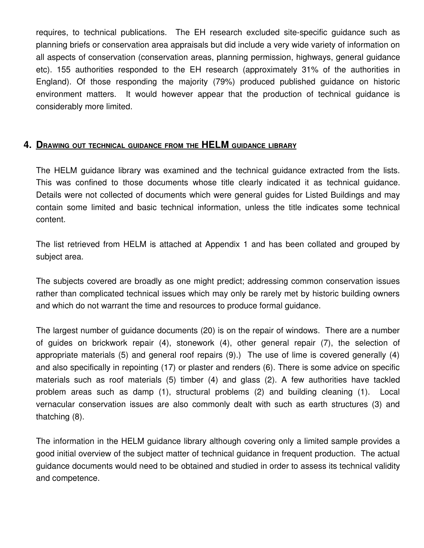requires, to technical publications. The EH research excluded site-specific guidance such as planning briefs or conservation area appraisals but did include a very wide variety of information on all aspects of conservation (conservation areas, planning permission, highways, general guidance etc). 155 authorities responded to the EH research (approximately 31% of the authorities in England). Of those responding the majority (79%) produced published guidance on historic environment matters. It would however appear that the production of technical quidance is considerably more limited.

## **4. DRAWING OUT TECHNICAL GUIDANCE FROM THE HELM GUIDANCE LIBRARY**

The HELM guidance library was examined and the technical guidance extracted from the lists. This was confined to those documents whose title clearly indicated it as technical guidance. Details were not collected of documents which were general guides for Listed Buildings and may contain some limited and basic technical information, unless the title indicates some technical content.

The list retrieved from HELM is attached at Appendix 1 and has been collated and grouped by subject area.

The subjects covered are broadly as one might predict; addressing common conservation issues rather than complicated technical issues which may only be rarely met by historic building owners and which do not warrant the time and resources to produce formal guidance.

The largest number of guidance documents (20) is on the repair of windows. There are a number of quides on brickwork repair (4), stonework (4), other qeneral repair (7), the selection of appropriate materials (5) and general roof repairs (9).) The use of lime is covered generally (4) and also specifically in repointing (17) or plaster and renders (6). There is some advice on specific materials such as roof materials (5) timber (4) and glass (2). A few authorities have tackled problem areas such as damp (1), structural problems (2) and building cleaning (1). Local vernacular conservation issues are also commonly dealt with such as earth structures (3) and thatching (8).

The information in the HELM guidance library although covering only a limited sample provides a good initial overview of the subject matter of technical guidance in frequent production. The actual guidance documents would need to be obtained and studied in order to assess its technical validity and competence.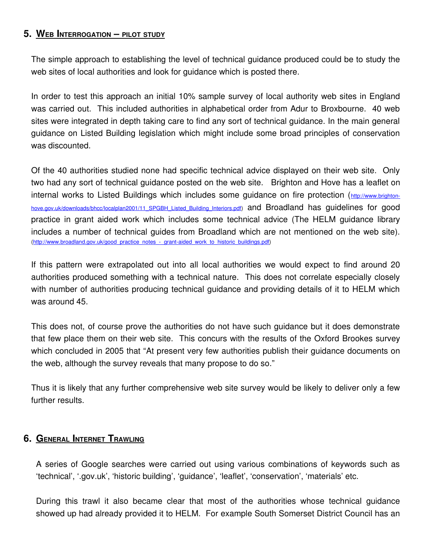### **5. WEB INTERROGATION – PILOT STUDY**

The simple approach to establishing the level of technical guidance produced could be to study the web sites of local authorities and look for guidance which is posted there.

In order to test this approach an initial 10% sample survey of local authority web sites in England was carried out. This included authorities in alphabetical order from Adur to Broxbourne. 40 web sites were integrated in depth taking care to find any sort of technical guidance. In the main general guidance on Listed Building legislation which might include some broad principles of conservation was discounted.

Of the 40 authorities studied none had specific technical advice displayed on their web site. Only two had any sort of technical guidance posted on the web site. Brighton and Hove has a leaflet on internal works to Listed Buildings which includes some guidance on fire protection ([http://www.brighton](http://www.brighton-hove.gov.uk/downloads/bhcc/localplan2001/11_SPGBH_Listed_Building_Interiors.pdf)[hove.gov.uk/downloads/bhcc/localplan2001/11\\_SPGBH\\_Listed\\_Building\\_Interiors.pdf\)](http://www.brighton-hove.gov.uk/downloads/bhcc/localplan2001/11_SPGBH_Listed_Building_Interiors.pdf) and Broadland has guidelines for good practice in grant aided work which includes some technical advice (The HELM guidance library includes a number of technical guides from Broadland which are not mentioned on the web site). (http://www.broadland.gov.uk/good\_practice\_notes\_-\_grant-aided\_work\_to\_historic\_buildings.pdf)

If this pattern were extrapolated out into all local authorities we would expect to find around 20 authorities produced something with a technical nature. This does not correlate especially closely with number of authorities producing technical guidance and providing details of it to HELM which was around 45.

This does not, of course prove the authorities do not have such guidance but it does demonstrate that few place them on their web site. This concurs with the results of the Oxford Brookes survey which concluded in 2005 that "At present very few authorities publish their guidance documents on the web, although the survey reveals that many propose to do so."

Thus it is likely that any further comprehensive web site survey would be likely to deliver only a few further results.

### **6. GENERAL INTERNET TRAWLING**

A series of Google searches were carried out using various combinations of keywords such as 'technical', '.gov.uk', 'historic building', 'guidance', 'leaflet', 'conservation', 'materials' etc.

During this trawl it also became clear that most of the authorities whose technical guidance showed up had already provided it to HELM. For example South Somerset District Council has an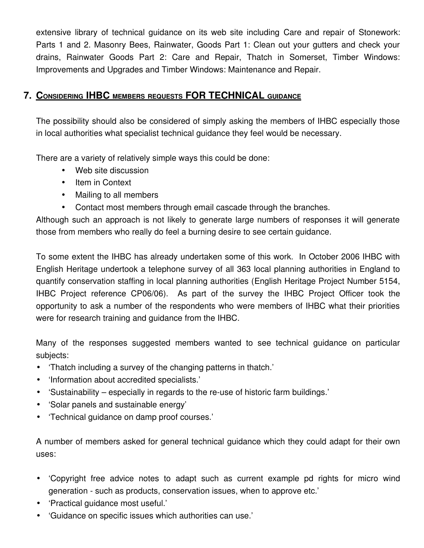extensive library of technical guidance on its web site including Care and repair of Stonework: Parts 1 and 2. Masonry Bees, Rainwater, Goods Part 1: Clean out your gutters and check your drains, Rainwater Goods Part 2: Care and Repair, Thatch in Somerset, Timber Windows: Improvements and Upgrades and Timber Windows: Maintenance and Repair.

## **7. CONSIDERING IHBC MEMBERS REQUESTS FOR TECHNICAL GUIDANCE**

The possibility should also be considered of simply asking the members of IHBC especially those in local authorities what specialist technical guidance they feel would be necessary.

There are a variety of relatively simple ways this could be done:

- Web site discussion
- Item in Context
- Mailing to all members
- Contact most members through email cascade through the branches.

Although such an approach is not likely to generate large numbers of responses it will generate those from members who really do feel a burning desire to see certain guidance.

To some extent the IHBC has already undertaken some of this work. In October 2006 IHBC with English Heritage undertook a telephone survey of all 363 local planning authorities in England to quantify conservation staffing in local planning authorities (English Heritage Project Number 5154, IHBC Project reference CP06/06). As part of the survey the IHBC Project Officer took the opportunity to ask a number of the respondents who were members of IHBC what their priorities were for research training and guidance from the IHBC.

Many of the responses suggested members wanted to see technical quidance on particular subjects:

- 'Thatch including a survey of the changing patterns in thatch.'
- 'Information about accredited specialists.'
- 'Sustainability especially in regards to the re-use of historic farm buildings.'
- 'Solar panels and sustainable energy'
- 'Technical guidance on damp proof courses.'

A number of members asked for general technical guidance which they could adapt for their own uses:

- 'Copyright free advice notes to adapt such as current example pd rights for micro wind generation - such as products, conservation issues, when to approve etc.'
- 'Practical guidance most useful.'
- 'Guidance on specific issues which authorities can use.'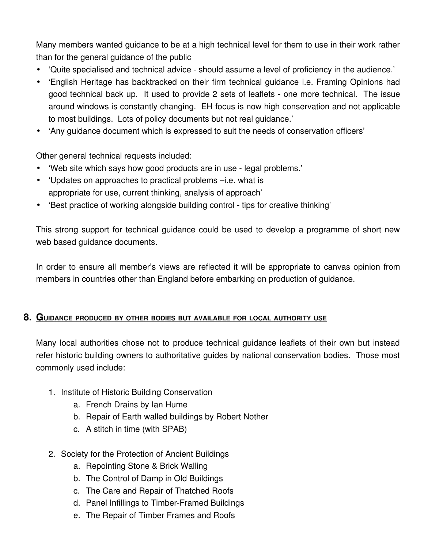Many members wanted guidance to be at a high technical level for them to use in their work rather than for the general guidance of the public

- 'Quite specialised and technical advice should assume a level of proficiency in the audience.'
- 'English Heritage has backtracked on their firm technical guidance i.e. Framing Opinions had good technical back up. It used to provide 2 sets of leaflets - one more technical. The issue around windows is constantly changing. EH focus is now high conservation and not applicable to most buildings. Lots of policy documents but not real guidance.'
- 'Any guidance document which is expressed to suit the needs of conservation officers'

Other general technical requests included:

- 'Web site which says how good products are in use legal problems.'
- 'Updates on approaches to practical problems –i.e. what is appropriate for use, current thinking, analysis of approach'
- 'Best practice of working alongside building control tips for creative thinking'

This strong support for technical guidance could be used to develop a programme of short new web based guidance documents.

In order to ensure all member's views are reflected it will be appropriate to canvas opinion from members in countries other than England before embarking on production of guidance.

### **8. GUIDANCE PRODUCED BY OTHER BODIES BUT AVAILABLE FOR LOCAL AUTHORITY USE**

Many local authorities chose not to produce technical guidance leaflets of their own but instead refer historic building owners to authoritative guides by national conservation bodies. Those most commonly used include:

- 1. Institute of Historic Building Conservation
	- a. French Drains by Ian Hume
	- b. Repair of Earth walled buildings by Robert Nother
	- c. A stitch in time (with SPAB)
- 2. Society for the Protection of Ancient Buildings
	- a. Repointing Stone & Brick Walling
	- b. The Control of Damp in Old Buildings
	- c. The Care and Repair of Thatched Roofs
	- d. Panel Infillings to Timber-Framed Buildings
	- e. The Repair of Timber Frames and Roofs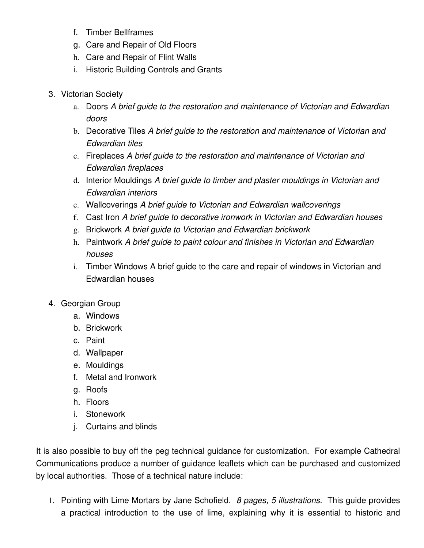- f. Timber Bellframes
- g. Care and Repair of Old Floors
- h. Care and Repair of Flint Walls
- i. Historic Building Controls and Grants
- 3. Victorian Society
	- a. Doors *A brief guide to the restoration and maintenance of Victorian and Edwardian doors*
	- b. Decorative Tiles *A brief guide to the restoration and maintenance of Victorian and Edwardian tiles*
	- c. Fireplaces *A brief guide to the restoration and maintenance of Victorian and Edwardian fireplaces*
	- d. Interior Mouldings *A brief guide to timber and plaster mouldings in Victorian and Edwardian interiors*
	- e. Wallcoverings *A brief guide to Victorian and Edwardian wallcoverings*
	- f. Cast Iron *A brief guide to decorative ironwork in Victorian and Edwardian houses*
	- g. Brickwork *A brief guide to Victorian and Edwardian brickwork*
	- h. Paintwork *A brief guide to paint colour and finishes in Victorian and Edwardian houses*
	- i. Timber Windows A brief guide to the care and repair of windows in Victorian and Edwardian houses
- 4. Georgian Group
	- a. Windows
	- b. Brickwork
	- c. Paint
	- d. Wallpaper
	- e. Mouldings
	- f. Metal and Ironwork
	- g. Roofs
	- h. Floors
	- i. Stonework
	- j. Curtains and blinds

It is also possible to buy off the peg technical guidance for customization. For example Cathedral Communications produce a number of guidance leaflets which can be purchased and customized by local authorities. Those of a technical nature include:

1. Pointing with Lime Mortars by Jane Schofield. *8 pages, 5 illustrations.* This guide provides a practical introduction to the use of lime, explaining why it is essential to historic and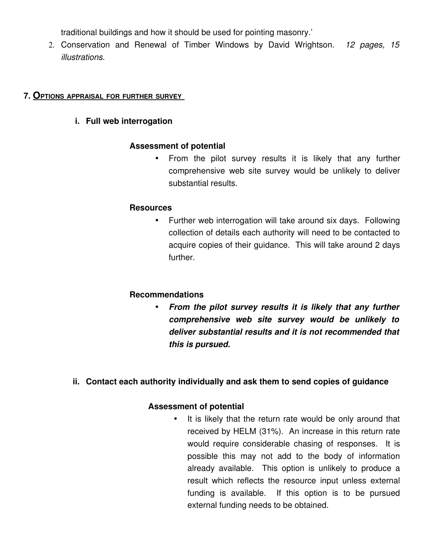traditional buildings and how it should be used for pointing masonry.'

2. Conservation and Renewal of Timber Windows by David Wrightson. *12 pages, 15 illustrations.* 

#### **7. OPTIONS APPRAISAL FOR FURTHER SURVEY**

### **i. Full web interrogation**

### **Assessment of potential**

• From the pilot survey results it is likely that any further comprehensive web site survey would be unlikely to deliver substantial results.

#### **Resources**

• Further web interrogation will take around six days. Following collection of details each authority will need to be contacted to acquire copies of their guidance. This will take around 2 days further.

### **Recommendations**

• *From the pilot survey results it is likely that any further comprehensive web site survey would be unlikely to deliver substantial results and it is not recommended that this is pursued.*

### **ii. Contact each authority individually and ask them to send copies of guidance**

### **Assessment of potential**

It is likely that the return rate would be only around that received by HELM (31%). An increase in this return rate would require considerable chasing of responses. It is possible this may not add to the body of information already available. This option is unlikely to produce a result which reflects the resource input unless external funding is available. If this option is to be pursued external funding needs to be obtained.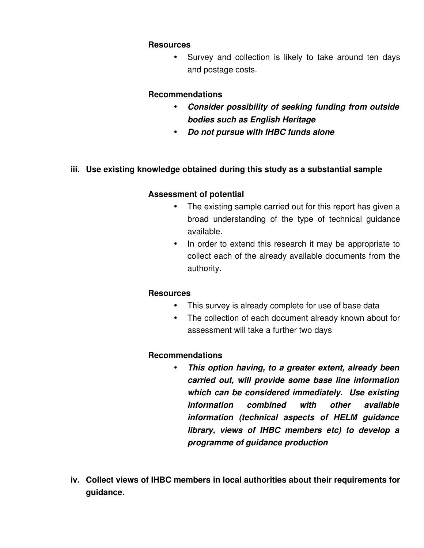#### **Resources**

• Survey and collection is likely to take around ten days and postage costs.

#### **Recommendations**

- *Consider possibility of seeking funding from outside bodies such as English Heritage*
- *Do not pursue with IHBC funds alone*

### **iii. Use existing knowledge obtained during this study as a substantial sample**

### **Assessment of potential**

- The existing sample carried out for this report has given a broad understanding of the type of technical guidance available.
- In order to extend this research it may be appropriate to collect each of the already available documents from the authority.

### **Resources**

- This survey is already complete for use of base data
- The collection of each document already known about for assessment will take a further two days

### **Recommendations**

- *This option having, to a greater extent, already been carried out, will provide some base line information which can be considered immediately. Use existing information combined with other available information (technical aspects of HELM guidance library, views of IHBC members etc) to develop a programme of guidance production*
- **iv. Collect views of IHBC members in local authorities about their requirements for guidance.**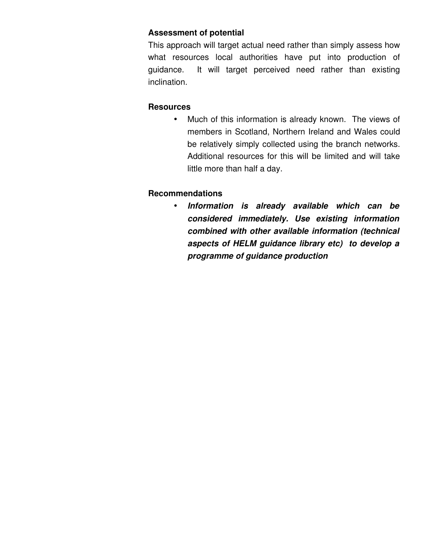### **Assessment of potential**

This approach will target actual need rather than simply assess how what resources local authorities have put into production of guidance. It will target perceived need rather than existing inclination.

### **Resources**

• Much of this information is already known. The views of members in Scotland, Northern Ireland and Wales could be relatively simply collected using the branch networks. Additional resources for this will be limited and will take little more than half a day.

### **Recommendations**

• *Information is already available which can be considered immediately. Use existing information combined with other available information (technical aspects of HELM guidance library etc) to develop a programme of guidance production*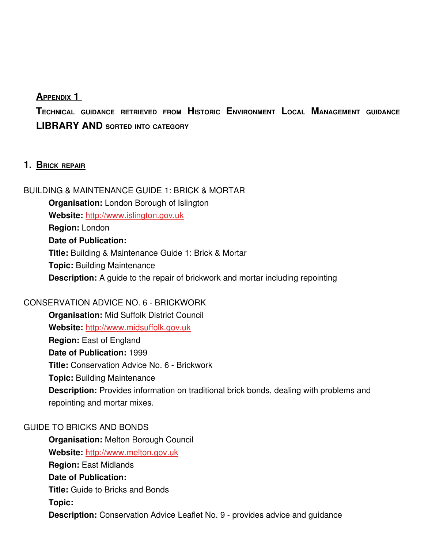### **APPENDIX 1**

**TECHNICAL GUIDANCE RETRIEVED FROM HISTORIC ENVIRONMENT LOCAL MANAGEMENT GUIDANCE LIBRARY AND SORTED INTO CATEGORY**

### **1. BRICK REPAIR**

BUILDING & MAINTENANCE GUIDE 1: BRICK & MORTAR **Organisation:** London Borough of Islington **Website:** [http://www.islington.gov.uk](http://www.islington.gov.uk/) **Region:** London **Date of Publication: Title:** Building & Maintenance Guide 1: Brick & Mortar **Topic:** Building Maintenance **Description:** A guide to the repair of brickwork and mortar including repointing

### CONSERVATION ADVICE NO. 6 - BRICKWORK

**Organisation:** Mid Suffolk District Council **Website:** [http://www.midsuffolk.gov.uk](http://www.midsuffolk.gov.uk/) **Region:** East of England **Date of Publication:** 1999 **Title: Conservation Advice No. 6 - Brickwork Topic:** Building Maintenance **Description:** Provides information on traditional brick bonds, dealing with problems and repointing and mortar mixes.

### GUIDE TO BRICKS AND BONDS

**Organisation:** Melton Borough Council **Website:** [http://www.melton.gov.uk](http://www.melton.gov.uk/) **Region:** East Midlands **Date of Publication: Title:** Guide to Bricks and Bonds **Topic: Description:** Conservation Advice Leaflet No. 9 - provides advice and guidance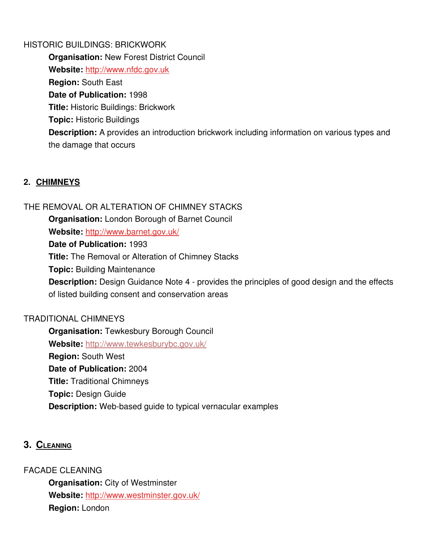#### HISTORIC BUILDINGS: BRICKWORK

**Organisation:** New Forest District Council **Website:** [http://www.nfdc.gov.uk](http://www.nfdc.gov.uk/) **Region:** South East **Date of Publication:** 1998 **Title:** Historic Buildings: Brickwork **Topic:** Historic Buildings **Description:** A provides an introduction brickwork including information on various types and the damage that occurs

### **2. CHIMNEYS**

### THE REMOVAL OR ALTERATION OF CHIMNEY STACKS

**Organisation:** London Borough of Barnet Council

**Website:** <http://www.barnet.gov.uk/>

**Date of Publication:** 1993

**Title:** The Removal or Alteration of Chimney Stacks

**Topic:** Building Maintenance

**Description:** Design Guidance Note 4 - provides the principles of good design and the effects of listed building consent and conservation areas

### TRADITIONAL CHIMNEYS

**Organisation:** Tewkesbury Borough Council **Website:** <http://www.tewkesburybc.gov.uk/> **Region:** South West **Date of Publication:** 2004 **Title:** Traditional Chimneys **Topic:** Design Guide **Description:** Web-based guide to typical vernacular examples

### **3. CLEANING**

FACADE CLEANING

**Organisation:** City of Westminster **Website:** <http://www.westminster.gov.uk/> **Region:** London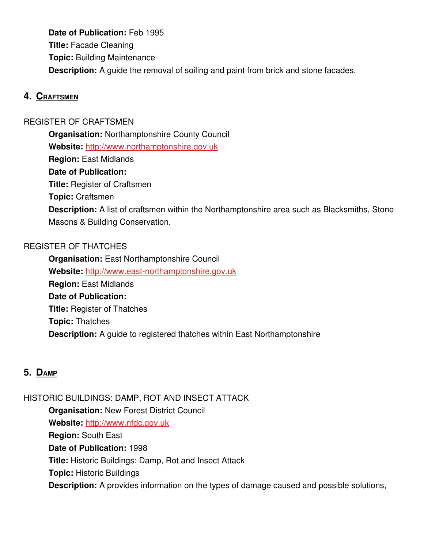**Date of Publication:** Feb 1995 **Title:** Facade Cleaning **Topic:** Building Maintenance **Description:** A guide the removal of soiling and paint from brick and stone facades.

### **4. CRAFTSMEN**

### REGISTER OF CRAFTSMEN

**Organisation:** Northamptonshire County Council **Website:** [http://www.northamptonshire.gov.uk](http://www.northamptonshire.gov.uk/)

**Region:** East Midlands

#### **Date of Publication:**

**Title:** Register of Craftsmen

**Topic:** Craftsmen

**Description:** A list of craftsmen within the Northamptonshire area such as Blacksmiths, Stone Masons & Building Conservation.

### REGISTER OF THATCHES

**Organisation:** East Northamptonshire Council Website: http://www.east-northamptonshire.gov.uk **Region:** East Midlands **Date of Publication: Title:** Register of Thatches **Topic:** Thatches **Description:** A guide to registered thatches within East Northamptonshire

### **5. DAMP**

HISTORIC BUILDINGS: DAMP, ROT AND INSECT ATTACK **Organisation:** New Forest District Council **Website:** [http://www.nfdc.gov.uk](http://www.nfdc.gov.uk/) **Region:** South East **Date of Publication:** 1998 **Title:** Historic Buildings: Damp, Rot and Insect Attack **Topic:** Historic Buildings **Description:** A provides information on the types of damage caused and possible solutions,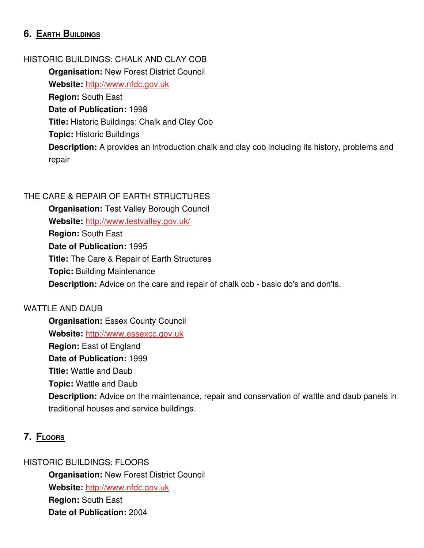## **6. EARTH BUILDINGS**

#### HISTORIC BUILDINGS: CHALK AND CLAY COB

**Organisation:** New Forest District Council **Website:** [http://www.nfdc.gov.uk](http://www.nfdc.gov.uk/) **Region:** South East **Date of Publication:** 1998 **Title:** Historic Buildings: Chalk and Clay Cob **Topic:** Historic Buildings **Description:** A provides an introduction chalk and clay cob including its history, problems and repair

#### THE CARE & REPAIR OF EARTH STRUCTURES

**Organisation:** Test Valley Borough Council **Website:** <http://www.testvalley.gov.uk/> **Region:** South East **Date of Publication:** 1995 **Title:** The Care & Repair of Earth Structures **Topic:** Building Maintenance **Description:** Advice on the care and repair of chalk cob - basic do's and don'ts.

#### WATTLE AND DAUB

**Organisation: Essex County Council** Website: [http://www.essexcc.gov.uk](http://www.essexcc.gov.uk/) **Region:** East of England **Date of Publication:** 1999 **Title:** Wattle and Daub **Topic:** Wattle and Daub **Description:** Advice on the maintenance, repair and conservation of wattle and daub panels in traditional houses and service buildings.

### **7. FLOORS**

HISTORIC BUILDINGS: FLOORS

**Organisation:** New Forest District Council **Website:** [http://www.nfdc.gov.uk](http://www.nfdc.gov.uk/) **Region:** South East **Date of Publication:** 2004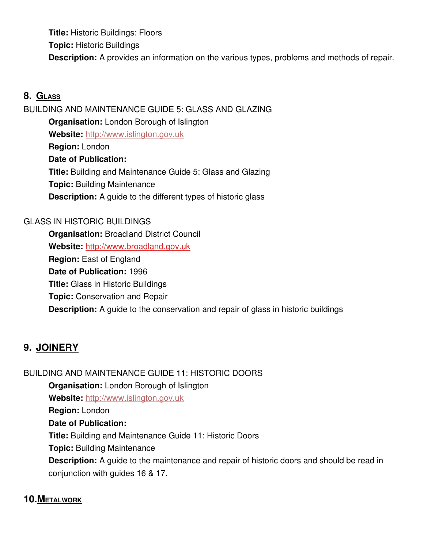**Title:** Historic Buildings: Floors **Topic:** Historic Buildings **Description:** A provides an information on the various types, problems and methods of repair.

## **8. GLASS**

BUILDING AND MAINTENANCE GUIDE 5: GLASS AND GLAZING **Organisation:** London Borough of Islington **Website:** [http://www.islington.gov.uk](http://www.islington.gov.uk/) **Region:** London **Date of Publication: Title:** Building and Maintenance Guide 5: Glass and Glazing **Topic:** Building Maintenance **Description:** A guide to the different types of historic glass

### GLASS IN HISTORIC BUILDINGS

**Organisation:** Broadland District Council **Website:** [http://www.broadland.gov.uk](http://www.broadland.gov.uk/) **Region:** East of England **Date of Publication:** 1996 **Title:** Glass in Historic Buildings **Topic:** Conservation and Repair **Description:** A guide to the conservation and repair of glass in historic buildings

# **9. JOINERY**

BUILDING AND MAINTENANCE GUIDE 11: HISTORIC DOORS **Organisation:** London Borough of Islington **Website:** [http://www.islington.gov.uk](http://www.islington.gov.uk/) **Region:** London **Date of Publication: Title:** Building and Maintenance Guide 11: Historic Doors **Topic:** Building Maintenance **Description:** A guide to the maintenance and repair of historic doors and should be read in conjunction with guides 16 & 17.

## **10. METALWORK**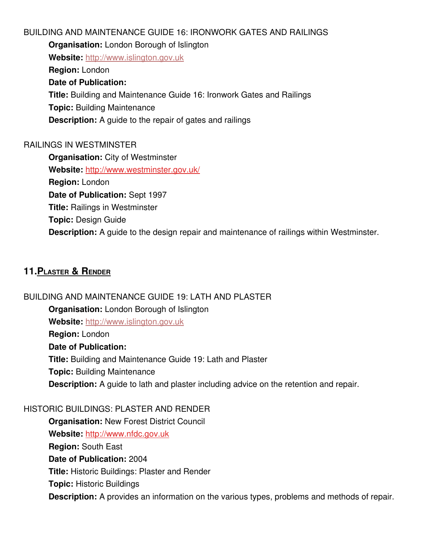#### BUILDING AND MAINTENANCE GUIDE 16: IRONWORK GATES AND RAILINGS

**Organisation:** London Borough of Islington

**Website:** [http://www.islington.gov.uk](http://www.islington.gov.uk/)

**Region:** London

### **Date of Publication:**

**Title:** Building and Maintenance Guide 16: Ironwork Gates and Railings

**Topic:** Building Maintenance

**Description:** A guide to the repair of gates and railings

## RAILINGS IN WESTMINSTER

**Organisation:** City of Westminster **Website:** <http://www.westminster.gov.uk/> **Region:** London **Date of Publication:** Sept 1997 **Title:** Railings in Westminster **Topic:** Design Guide **Description:** A guide to the design repair and maintenance of railings within Westminster.

# **11. PLASTER & RENDER**

## BUILDING AND MAINTENANCE GUIDE 19: LATH AND PLASTER

## **Organisation:** London Borough of Islington

**Website:** [http://www.islington.gov.uk](http://www.islington.gov.uk/)

**Region:** London

### **Date of Publication:**

**Title:** Building and Maintenance Guide 19: Lath and Plaster **Topic:** Building Maintenance **Description:** A guide to lath and plaster including advice on the retention and repair.

### HISTORIC BUILDINGS: PLASTER AND RENDER

**Organisation:** New Forest District Council **Website:** [http://www.nfdc.gov.uk](http://www.nfdc.gov.uk/) **Region:** South East **Date of Publication:** 2004 **Title:** Historic Buildings: Plaster and Render **Topic:** Historic Buildings **Description:** A provides an information on the various types, problems and methods of repair.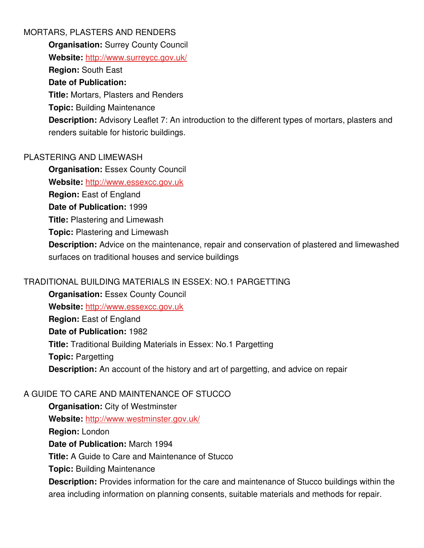### MORTARS, PLASTERS AND RENDERS

**Organisation: Surrey County Council** 

**Website:** <http://www.surreycc.gov.uk/>

**Region:** South East

## **Date of Publication:**

**Title:** Mortars, Plasters and Renders

**Topic:** Building Maintenance

**Description:** Advisory Leaflet 7: An introduction to the different types of mortars, plasters and renders suitable for historic buildings.

## PLASTERING AND LIMEWASH

**Organisation: Essex County Council** 

Website: [http://www.essexcc.gov.uk](http://www.essexcc.gov.uk/)

**Region:** East of England

**Date of Publication:** 1999

**Title:** Plastering and Limewash

**Topic:** Plastering and Limewash

**Description:** Advice on the maintenance, repair and conservation of plastered and limewashed surfaces on traditional houses and service buildings

## TRADITIONAL BUILDING MATERIALS IN ESSEX: NO.1 PARGETTING

**Organisation:** Essex County Council Website: [http://www.essexcc.gov.uk](http://www.essexcc.gov.uk/) **Region:** East of England **Date of Publication:** 1982 **Title:** Traditional Building Materials in Essex: No.1 Pargetting **Topic:** Pargetting **Description:** An account of the history and art of pargetting, and advice on repair

# A GUIDE TO CARE AND MAINTENANCE OF STUCCO

**Organisation:** City of Westminster **Website:** <http://www.westminster.gov.uk/> **Region:** London **Date of Publication:** March 1994 **Title:** A Guide to Care and Maintenance of Stucco **Topic:** Building Maintenance

**Description:** Provides information for the care and maintenance of Stucco buildings within the area including information on planning consents, suitable materials and methods for repair.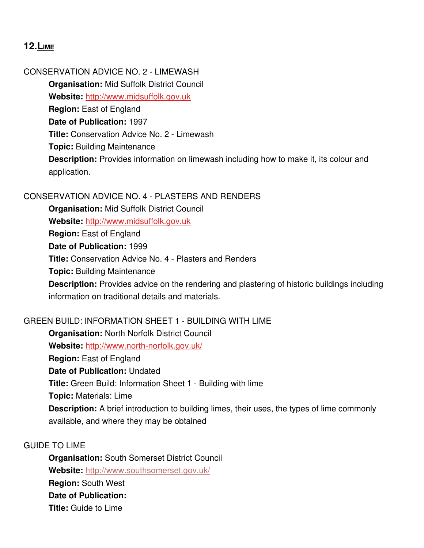## **12. LIME**

### CONSERVATION ADVICE NO. 2 LIMEWASH

**Organisation:** Mid Suffolk District Council **Website:** [http://www.midsuffolk.gov.uk](http://www.midsuffolk.gov.uk/) **Region: East of England Date of Publication:** 1997 **Title:** Conservation Advice No. 2 Limewash **Topic:** Building Maintenance **Description:** Provides information on limewash including how to make it, its colour and application.

### CONSERVATION ADVICE NO. 4 PLASTERS AND RENDERS

**Organisation:** Mid Suffolk District Council **Website:** [http://www.midsuffolk.gov.uk](http://www.midsuffolk.gov.uk/) **Region:** East of England **Date of Publication:** 1999 **Title:** Conservation Advice No. 4 Plasters and Renders **Topic:** Building Maintenance **Description:** Provides advice on the rendering and plastering of historic buildings including information on traditional details and materials.

### GREEN BUILD: INFORMATION SHEET 1 BUILDING WITH LIME

**Organisation:** North Norfolk District Council Website: http://www.north-norfolk.gov.uk/ **Region:** East of England **Date of Publication:** Undated **Title:** Green Build: Information Sheet 1 - Building with lime **Topic:** Materials: Lime **Description:** A brief introduction to building limes, their uses, the types of lime commonly available, and where they may be obtained

### GUIDE TO LIME

**Organisation:** South Somerset District Council **Website:** <http://www.southsomerset.gov.uk/> **Region:** South West **Date of Publication: Title:** Guide to Lime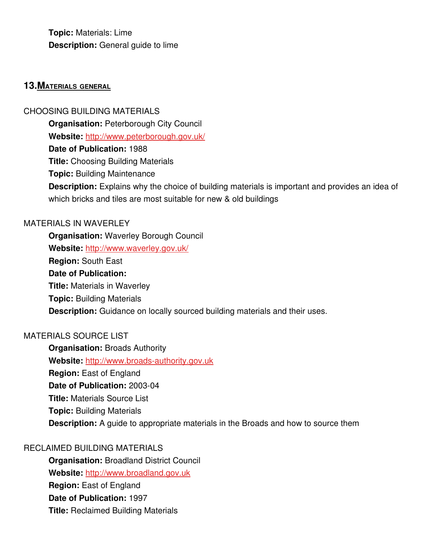**Topic:** Materials: Lime **Description:** General guide to lime

#### **13. MATERIALS GENERAL**

CHOOSING BUILDING MATERIALS

**Organisation: Peterborough City Council** 

**Website:** <http://www.peterborough.gov.uk/>

**Date of Publication:** 1988

**Title:** Choosing Building Materials

**Topic:** Building Maintenance

**Description:** Explains why the choice of building materials is important and provides an idea of which bricks and tiles are most suitable for new & old buildings

#### MATERIALS IN WAVERLEY

**Organisation:** Waverley Borough Council **Website:** <http://www.waverley.gov.uk/> **Region:** South East **Date of Publication: Title:** Materials in Waverley **Topic:** Building Materials **Description:** Guidance on locally sourced building materials and their uses.

### MATERIALS SOURCE LIST

**Organisation: Broads Authority Website:** http://www.broads-authority.gov.uk **Region:** East of England **Date of Publication: 2003-04 Title:** Materials Source List **Topic:** Building Materials **Description:** A quide to appropriate materials in the Broads and how to source them

### RECLAIMED BUILDING MATERIALS

**Organisation:** Broadland District Council **Website:** [http://www.broadland.gov.uk](http://www.broadland.gov.uk/) **Region: East of England Date of Publication:** 1997 **Title:** Reclaimed Building Materials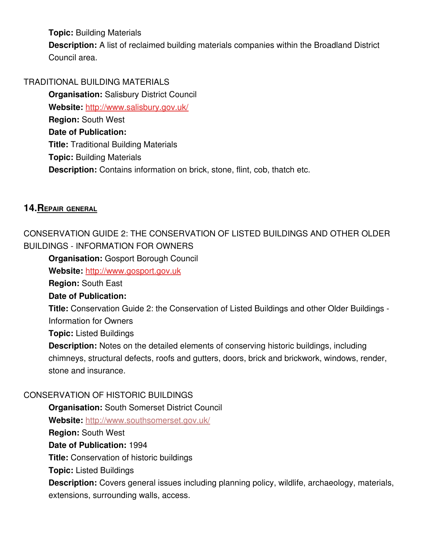**Topic:** Building Materials

**Description:** A list of reclaimed building materials companies within the Broadland District Council area.

### TRADITIONAL BUILDING MATERIALS

**Organisation:** Salisbury District Council **Website:** <http://www.salisbury.gov.uk/> **Region:** South West **Date of Publication: Title:** Traditional Building Materials **Topic:** Building Materials **Description:** Contains information on brick, stone, flint, cob, thatch etc.

### **14. REPAIR GENERAL**

CONSERVATION GUIDE 2: THE CONSERVATION OF LISTED BUILDINGS AND OTHER OLDER BUILDINGS INFORMATION FOR OWNERS

**Organisation:** Gosport Borough Council

**Website:** [http://www.gosport.gov.uk](http://www.gosport.gov.uk/)

**Region:** South East

### **Date of Publication:**

**Title:** Conservation Guide 2: the Conservation of Listed Buildings and other Older Buildings -Information for Owners

**Topic:** Listed Buildings

**Description:** Notes on the detailed elements of conserving historic buildings, including chimneys, structural defects, roofs and gutters, doors, brick and brickwork, windows, render, stone and insurance.

### CONSERVATION OF HISTORIC BUILDINGS

**Organisation:** South Somerset District Council **Website:** <http://www.southsomerset.gov.uk/>

**Region:** South West

**Date of Publication:** 1994

**Title:** Conservation of historic buildings

**Topic:** Listed Buildings

**Description:** Covers general issues including planning policy, wildlife, archaeology, materials, extensions, surrounding walls, access.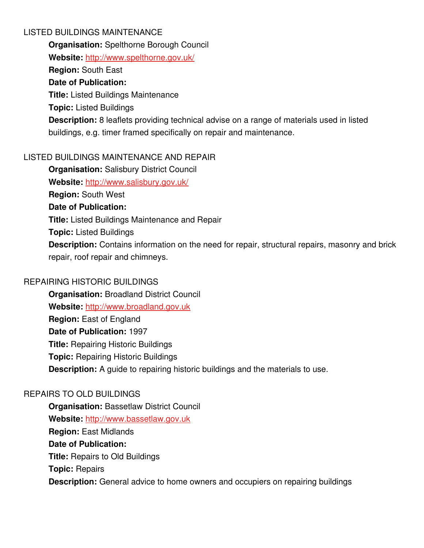### LISTED BUILDINGS MAINTENANCE

**Organisation:** Spelthorne Borough Council

**Website:** <http://www.spelthorne.gov.uk/>

**Region:** South East

## **Date of Publication:**

**Title:** Listed Buildings Maintenance

**Topic:** Listed Buildings

**Description:** 8 leaflets providing technical advise on a range of materials used in listed buildings, e.g. timer framed specifically on repair and maintenance.

## LISTED BUILDINGS MAINTENANCE AND REPAIR

**Organisation:** Salisbury District Council **Website:** <http://www.salisbury.gov.uk/> **Region:** South West **Date of Publication: Title:** Listed Buildings Maintenance and Repair **Topic:** Listed Buildings **Description:** Contains information on the need for repair, structural repairs, masonry and brick repair, roof repair and chimneys.

### REPAIRING HISTORIC BUILDINGS

**Organisation:** Broadland District Council **Website:** [http://www.broadland.gov.uk](http://www.broadland.gov.uk/) **Region:** East of England **Date of Publication:** 1997 **Title:** Repairing Historic Buildings **Topic:** Repairing Historic Buildings **Description:** A guide to repairing historic buildings and the materials to use.

## REPAIRS TO OLD BUILDINGS

**Organisation: Bassetlaw District Council Website:** [http://www.bassetlaw.gov.uk](http://www.bassetlaw.gov.uk/) **Region:** East Midlands **Date of Publication: Title:** Repairs to Old Buildings **Topic:** Repairs **Description:** General advice to home owners and occupiers on repairing buildings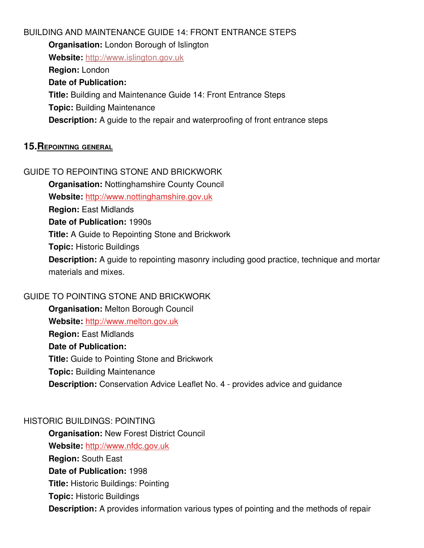BUILDING AND MAINTENANCE GUIDE 14: FRONT ENTRANCE STEPS **Organisation:** London Borough of Islington **Website:** [http://www.islington.gov.uk](http://www.islington.gov.uk/) **Region:** London **Date of Publication: Title:** Building and Maintenance Guide 14: Front Entrance Steps **Topic:** Building Maintenance **Description:** A guide to the repair and waterproofing of front entrance steps

#### **15. REPOINTING GENERAL**

#### GUIDE TO REPOINTING STONE AND BRICKWORK

**Organisation:** Nottinghamshire County Council

**Website:** [http://www.nottinghamshire.gov.uk](http://www.nottinghamshire.gov.uk/)

**Region:** East Midlands

**Date of Publication:** 1990s

**Title:** A Guide to Repointing Stone and Brickwork

**Topic:** Historic Buildings

**Description:** A guide to repointing masonry including good practice, technique and mortar materials and mixes.

### GUIDE TO POINTING STONE AND BRICKWORK

**Organisation:** Melton Borough Council **Website:** [http://www.melton.gov.uk](http://www.melton.gov.uk/) **Region:** East Midlands **Date of Publication: Title:** Guide to Pointing Stone and Brickwork **Topic:** Building Maintenance **Description:** Conservation Advice Leaflet No. 4 - provides advice and guidance

### HISTORIC BUILDINGS: POINTING

**Organisation:** New Forest District Council **Website:** [http://www.nfdc.gov.uk](http://www.nfdc.gov.uk/) **Region:** South East **Date of Publication:** 1998 **Title:** Historic Buildings: Pointing **Topic:** Historic Buildings **Description:** A provides information various types of pointing and the methods of repair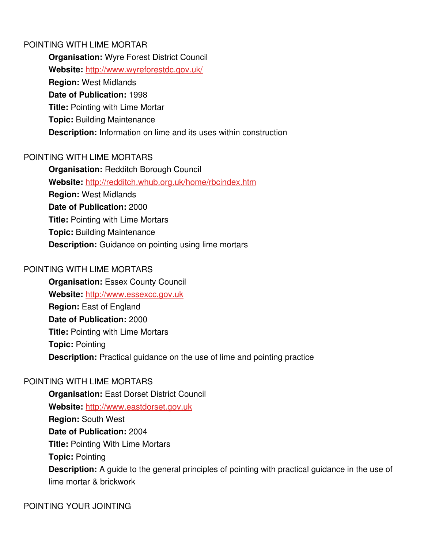#### POINTING WITH LIME MORTAR

**Organisation:** Wyre Forest District Council **Website:** <http://www.wyreforestdc.gov.uk/> **Region:** West Midlands **Date of Publication:** 1998 **Title:** Pointing with Lime Mortar **Topic:** Building Maintenance **Description:** Information on lime and its uses within construction

### POINTING WITH LIME MORTARS

**Organisation:** Redditch Borough Council **Website:** <http://redditch.whub.org.uk/home/rbcindex.htm> **Region:** West Midlands **Date of Publication:** 2000 **Title:** Pointing with Lime Mortars **Topic:** Building Maintenance **Description:** Guidance on pointing using lime mortars

### POINTING WITH LIME MORTARS

**Organisation: Essex County Council** Website: [http://www.essexcc.gov.uk](http://www.essexcc.gov.uk/) **Region:** East of England **Date of Publication:** 2000 **Title:** Pointing with Lime Mortars **Topic:** Pointing **Description:** Practical guidance on the use of lime and pointing practice

### POINTING WITH LIME MORTARS

**Organisation:** East Dorset District Council **Website:** [http://www.eastdorset.gov.uk](http://www.eastdorset.gov.uk/) **Region:** South West **Date of Publication:** 2004 **Title:** Pointing With Lime Mortars **Topic:** Pointing **Description:** A guide to the general principles of pointing with practical guidance in the use of lime mortar & brickwork

POINTING YOUR JOINTING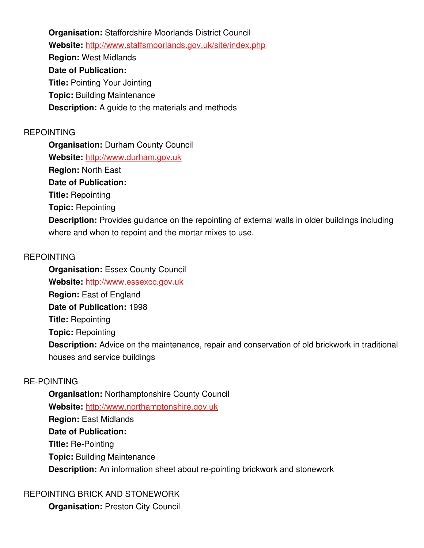**Organisation:** Staffordshire Moorlands District Council **Website:** <http://www.staffsmoorlands.gov.uk/site/index.php> **Region:** West Midlands **Date of Publication: Title: Pointing Your Jointing Topic:** Building Maintenance **Description:** A guide to the materials and methods

### REPOINTING

**Organisation:** Durham County Council **Website:** [http://www.durham.gov.uk](http://www.durham.gov.uk/) **Region:** North East **Date of Publication: Title:** Repointing **Topic:** Repointing **Description:** Provides guidance on the repointing of external walls in older buildings including where and when to repoint and the mortar mixes to use.

### REPOINTING

**Organisation:** Essex County Council Website: [http://www.essexcc.gov.uk](http://www.essexcc.gov.uk/) **Region:** East of England **Date of Publication:** 1998 **Title:** Repointing **Topic:** Repointing **Description:** Advice on the maintenance, repair and conservation of old brickwork in traditional houses and service buildings

### RE-POINTING

**Organisation:** Northamptonshire County Council **Website:** [http://www.northamptonshire.gov.uk](http://www.northamptonshire.gov.uk/) **Region:** East Midlands **Date of Publication: Title: Re-Pointing Topic:** Building Maintenance **Description:** An information sheet about re-pointing brickwork and stonework

### REPOINTING BRICK AND STONEWORK

**Organisation:** Preston City Council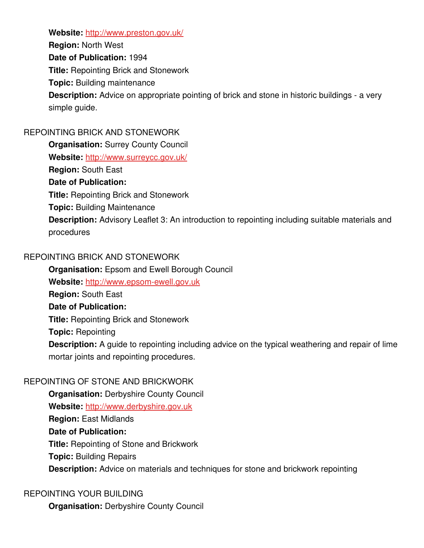**Website:** <http://www.preston.gov.uk/>

**Region:** North West

**Date of Publication:** 1994

**Title:** Repointing Brick and Stonework

**Topic:** Building maintenance

**Description:** Advice on appropriate pointing of brick and stone in historic buildings - a very simple guide.

## REPOINTING BRICK AND STONEWORK

**Organisation: Surrey County Council Website:** <http://www.surreycc.gov.uk/> **Region:** South East **Date of Publication: Title:** Repointing Brick and Stonework **Topic:** Building Maintenance **Description:** Advisory Leaflet 3: An introduction to repointing including suitable materials and procedures

## REPOINTING BRICK AND STONEWORK

**Organisation:** Epsom and Ewell Borough Council

Website: http://www.epsom-ewell.gov.uk

**Region:** South East

### **Date of Publication:**

**Title:** Repointing Brick and Stonework

**Topic:** Repointing

**Description:** A guide to repointing including advice on the typical weathering and repair of lime mortar joints and repointing procedures.

## REPOINTING OF STONE AND BRICKWORK

**Organisation:** Derbyshire County Council **Website:** [http://www.derbyshire.gov.uk](http://www.derbyshire.gov.uk/) **Region:** East Midlands **Date of Publication: Title:** Repointing of Stone and Brickwork **Topic:** Building Repairs **Description:** Advice on materials and techniques for stone and brickwork repointing

## REPOINTING YOUR BUILDING

**Organisation:** Derbyshire County Council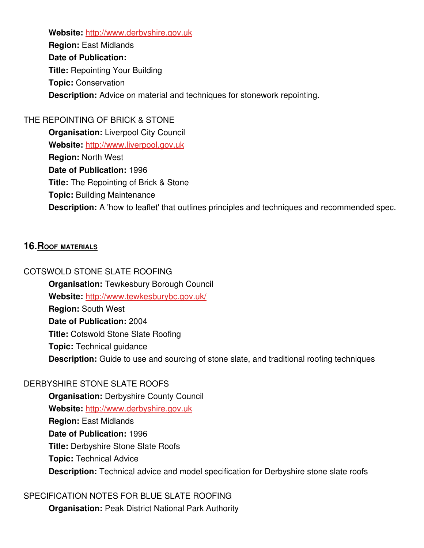**Website:** [http://www.derbyshire.gov.uk](http://www.derbyshire.gov.uk/)

**Region:** East Midlands **Date of Publication: Title:** Repointing Your Building **Topic:** Conservation **Description:** Advice on material and techniques for stonework repointing.

#### THE REPOINTING OF BRICK & STONE

**Organisation:** Liverpool City Council **Website:** [http://www.liverpool.gov.uk](http://www.liverpool.gov.uk/) **Region:** North West **Date of Publication:** 1996 **Title:** The Repointing of Brick & Stone **Topic:** Building Maintenance **Description:** A 'how to leaflet' that outlines principles and techniques and recommended spec.

### **16. ROOF MATERIALS**

COTSWOLD STONE SLATE ROOFING **Organisation: Tewkesbury Borough Council Website:** <http://www.tewkesburybc.gov.uk/> **Region:** South West **Date of Publication:** 2004 **Title:** Cotswold Stone Slate Roofing **Topic:** Technical guidance **Description:** Guide to use and sourcing of stone slate, and traditional roofing techniques

### DERBYSHIRE STONE SLATE ROOFS

**Organisation:** Derbyshire County Council **Website:** [http://www.derbyshire.gov.uk](http://www.derbyshire.gov.uk/) **Region:** East Midlands **Date of Publication:** 1996 **Title:** Derbyshire Stone Slate Roofs **Topic:** Technical Advice **Description:** Technical advice and model specification for Derbyshire stone slate roofs

SPECIFICATION NOTES FOR BLUE SLATE ROOFING **Organisation:** Peak District National Park Authority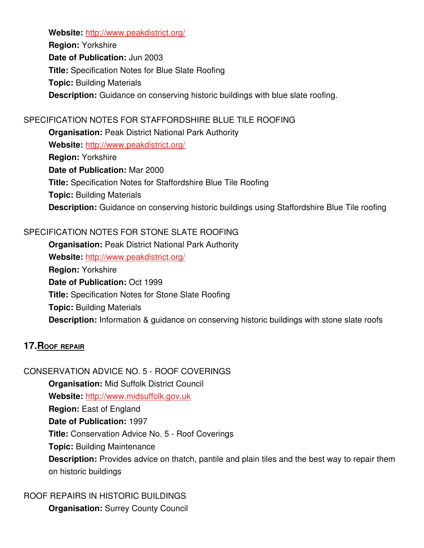**Website:** <http://www.peakdistrict.org/>

**Region:** Yorkshire **Date of Publication:** Jun 2003 **Title:** Specification Notes for Blue Slate Roofing **Topic:** Building Materials **Description:** Guidance on conserving historic buildings with blue slate roofing.

## SPECIFICATION NOTES FOR STAFFORDSHIRE BLUE TILE ROOFING

**Organisation:** Peak District National Park Authority **Website:** <http://www.peakdistrict.org/> **Region:** Yorkshire **Date of Publication:** Mar 2000 **Title:** Specification Notes for Staffordshire Blue Tile Roofing **Topic:** Building Materials **Description:** Guidance on conserving historic buildings using Staffordshire Blue Tile roofing

## SPECIFICATION NOTES FOR STONE SLATE ROOFING

**Organisation:** Peak District National Park Authority **Website:** <http://www.peakdistrict.org/> **Region:** Yorkshire **Date of Publication:** Oct 1999 **Title:** Specification Notes for Stone Slate Roofing **Topic:** Building Materials **Description:** Information & guidance on conserving historic buildings with stone slate roofs

## **17. ROOF REPAIR**

CONSERVATION ADVICE NO. 5 - ROOF COVERINGS **Organisation:** Mid Suffolk District Council **Website:** [http://www.midsuffolk.gov.uk](http://www.midsuffolk.gov.uk/) **Region:** East of England **Date of Publication:** 1997 **Title:** Conservation Advice No. 5 - Roof Coverings **Topic:** Building Maintenance **Description:** Provides advice on thatch, pantile and plain tiles and the best way to repair them on historic buildings

ROOF REPAIRS IN HISTORIC BUILDINGS **Organisation:** Surrey County Council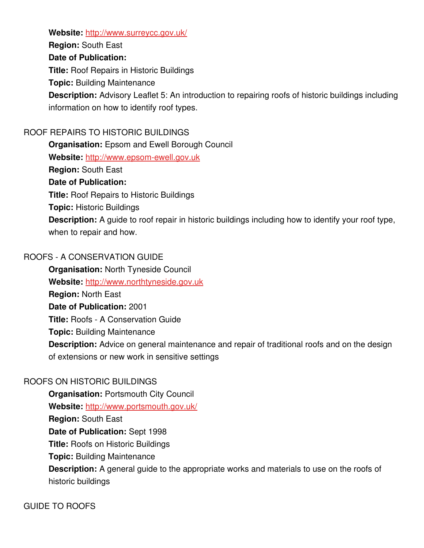Website: <http://www.surreycc.gov.uk/>

**Region:** South East **Date of Publication: Title:** Roof Repairs in Historic Buildings

**Topic:** Building Maintenance

**Description:** Advisory Leaflet 5: An introduction to repairing roofs of historic buildings including information on how to identify roof types.

## ROOF REPAIRS TO HISTORIC BUILDINGS

**Organisation:** Epsom and Ewell Borough Council Website: http://www.epsom-ewell.gov.uk **Region:** South East **Date of Publication: Title:** Roof Repairs to Historic Buildings **Topic:** Historic Buildings **Description:** A guide to roof repair in historic buildings including how to identify your roof type, when to repair and how.

### ROOFS A CONSERVATION GUIDE

**Organisation:** North Tyneside Council **Website:** [http://www.northtyneside.gov.uk](http://www.northtyneside.gov.uk/) **Region:** North East **Date of Publication:** 2001 **Title: Roofs - A Conservation Guide Topic:** Building Maintenance **Description:** Advice on general maintenance and repair of traditional roofs and on the design of extensions or new work in sensitive settings

## ROOFS ON HISTORIC BUILDINGS

**Organisation: Portsmouth City Council Website:** <http://www.portsmouth.gov.uk/> **Region:** South East **Date of Publication:** Sept 1998 **Title:** Roofs on Historic Buildings **Topic:** Building Maintenance **Description:** A general guide to the appropriate works and materials to use on the roofs of historic buildings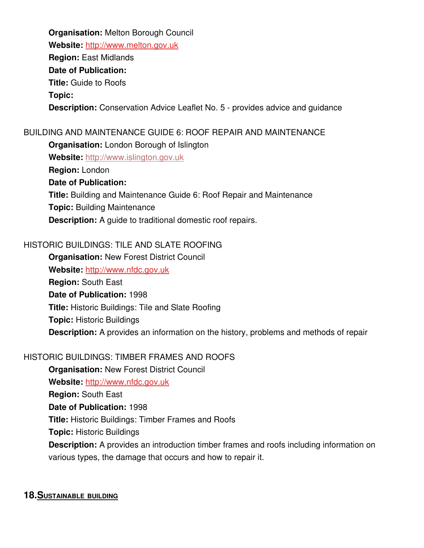**Organisation:** Melton Borough Council **Website:** [http://www.melton.gov.uk](http://www.melton.gov.uk/) **Region:** East Midlands **Date of Publication: Title:** Guide to Roofs **Topic: Description:** Conservation Advice Leaflet No. 5 - provides advice and quidance

### BUILDING AND MAINTENANCE GUIDE 6: ROOF REPAIR AND MAINTENANCE

**Organisation:** London Borough of Islington

**Website:** [http://www.islington.gov.uk](http://www.islington.gov.uk/)

**Region:** London

#### **Date of Publication:**

**Title:** Building and Maintenance Guide 6: Roof Repair and Maintenance

**Topic:** Building Maintenance

**Description:** A guide to traditional domestic roof repairs.

### HISTORIC BUILDINGS: TILE AND SLATE ROOFING

**Organisation: New Forest District Council Website:** [http://www.nfdc.gov.uk](http://www.nfdc.gov.uk/) **Region:** South East **Date of Publication:** 1998 **Title:** Historic Buildings: Tile and Slate Roofing **Topic:** Historic Buildings **Description:** A provides an information on the history, problems and methods of repair

### HISTORIC BUILDINGS: TIMBER FRAMES AND ROOFS

**Organisation:** New Forest District Council **Website:** [http://www.nfdc.gov.uk](http://www.nfdc.gov.uk/) **Region:** South East **Date of Publication:** 1998 **Title:** Historic Buildings: Timber Frames and Roofs **Topic:** Historic Buildings **Description:** A provides an introduction timber frames and roofs including information on various types, the damage that occurs and how to repair it.

### **18. SUSTAINABLE BUILDING**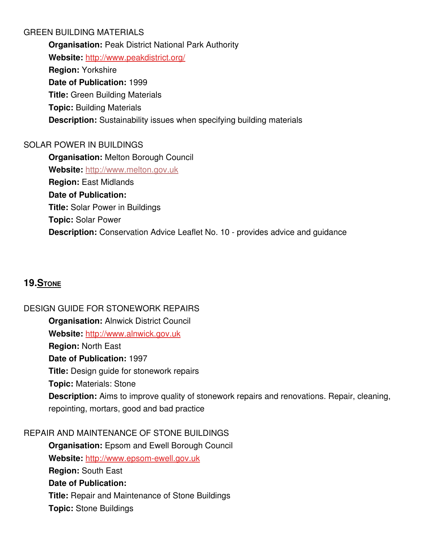### GREEN BUILDING MATERIALS

**Organisation:** Peak District National Park Authority **Website:** <http://www.peakdistrict.org/> **Region:** Yorkshire **Date of Publication:** 1999 **Title:** Green Building Materials **Topic:** Building Materials **Description:** Sustainability issues when specifying building materials

## SOLAR POWER IN BUILDINGS

**Organisation:** Melton Borough Council **Website:** [http://www.melton.gov.uk](http://www.melton.gov.uk/) **Region:** East Midlands **Date of Publication: Title:** Solar Power in Buildings **Topic:** Solar Power **Description:** Conservation Advice Leaflet No. 10 - provides advice and quidance

# **19. STONE**

### DESIGN GUIDE FOR STONEWORK REPAIRS

**Organisation:** Alnwick District Council **Website:** [http://www.alnwick.gov.uk](http://www.alnwick.gov.uk/) **Region:** North East **Date of Publication:** 1997 **Title:** Design guide for stonework repairs **Topic:** Materials: Stone **Description:** Aims to improve quality of stonework repairs and renovations. Repair, cleaning, repointing, mortars, good and bad practice

### REPAIR AND MAINTENANCE OF STONE BUILDINGS

**Organisation:** Epsom and Ewell Borough Council Website: http://www.epsom-ewell.gov.uk **Region:** South East **Date of Publication: Title:** Repair and Maintenance of Stone Buildings **Topic:** Stone Buildings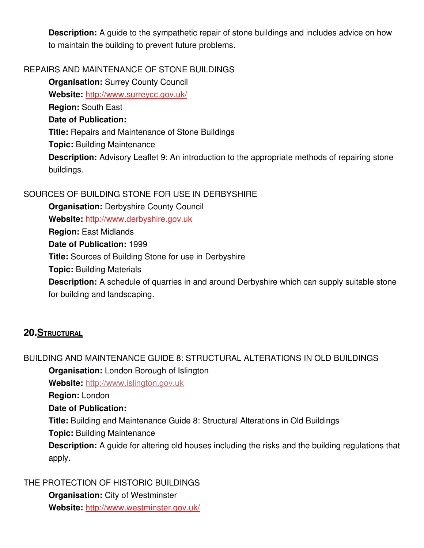**Description:** A guide to the sympathetic repair of stone buildings and includes advice on how to maintain the building to prevent future problems.

### REPAIRS AND MAINTENANCE OF STONE BUILDINGS

**Organisation: Surrey County Council** Website: <http://www.surreycc.gov.uk/> **Region:** South East **Date of Publication: Title:** Repairs and Maintenance of Stone Buildings **Topic:** Building Maintenance **Description:** Advisory Leaflet 9: An introduction to the appropriate methods of repairing stone buildings.

### SOURCES OF BUILDING STONE FOR USE IN DERBYSHIRE

**Organisation:** Derbyshire County Council **Website:** [http://www.derbyshire.gov.uk](http://www.derbyshire.gov.uk/) **Region:** East Midlands **Date of Publication:** 1999 **Title:** Sources of Building Stone for use in Derbyshire **Topic:** Building Materials **Description:** A schedule of quarries in and around Derbyshire which can supply suitable stone for building and landscaping.

## **20. STRUCTURAL**

### BUILDING AND MAINTENANCE GUIDE 8: STRUCTURAL ALTERATIONS IN OLD BUILDINGS **Organisation:** London Borough of Islington

**Website:** [http://www.islington.gov.uk](http://www.islington.gov.uk/)

**Region:** London

### **Date of Publication:**

**Title:** Building and Maintenance Guide 8: Structural Alterations in Old Buildings

**Topic:** Building Maintenance

**Description:** A guide for altering old houses including the risks and the building regulations that apply.

### THE PROTECTION OF HISTORIC BUILDINGS

**Organisation:** City of Westminster **Website:** <http://www.westminster.gov.uk/>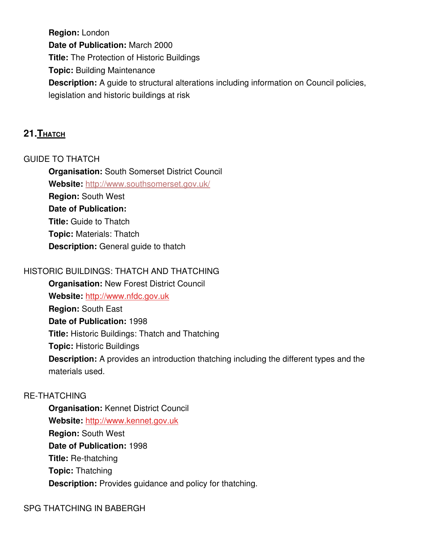**Region:** London **Date of Publication:** March 2000 **Title:** The Protection of Historic Buildings **Topic:** Building Maintenance **Description:** A guide to structural alterations including information on Council policies, legislation and historic buildings at risk

## **21. Тнатсн**

### GUIDE TO THATCH

**Organisation:** South Somerset District Council **Website:** <http://www.southsomerset.gov.uk/> **Region:** South West **Date of Publication: Title:** Guide to Thatch **Topic:** Materials: Thatch **Description:** General guide to thatch

## HISTORIC BUILDINGS: THATCH AND THATCHING

**Organisation:** New Forest District Council **Website:** [http://www.nfdc.gov.uk](http://www.nfdc.gov.uk/) **Region:** South East **Date of Publication:** 1998 **Title:** Historic Buildings: Thatch and Thatching **Topic:** Historic Buildings **Description:** A provides an introduction thatching including the different types and the materials used.

### **RE-THATCHING**

**Organisation:** Kennet District Council **Website:** [http://www.kennet.gov.uk](http://www.kennet.gov.uk/) **Region:** South West **Date of Publication:** 1998 **Title: Re-thatching Topic:** Thatching **Description:** Provides guidance and policy for thatching.

### SPG THATCHING IN BABERGH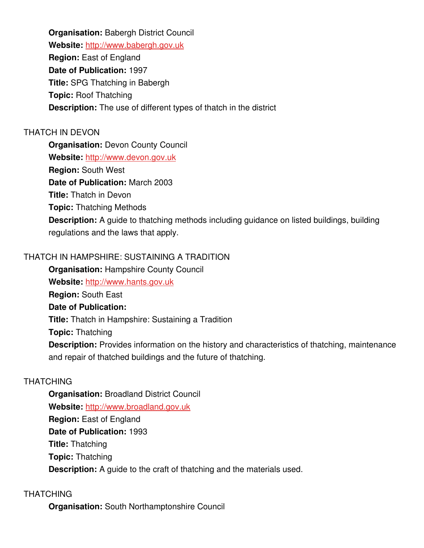**Organisation:** Babergh District Council **Website:** [http://www.babergh.gov.uk](http://www.babergh.gov.uk/) **Region:** East of England **Date of Publication:** 1997 **Title:** SPG Thatching in Babergh **Topic:** Roof Thatching **Description:** The use of different types of thatch in the district

### THATCH IN DEVON

**Organisation: Devon County Council** 

**Website:** [http://www.devon.gov.uk](http://www.devon.gov.uk/)

**Region:** South West

**Date of Publication:** March 2003

**Title:** Thatch in Devon

**Topic:** Thatching Methods

**Description:** A guide to thatching methods including guidance on listed buildings, building regulations and the laws that apply.

### THATCH IN HAMPSHIRE: SUSTAINING A TRADITION

**Organisation:** Hampshire County Council

**Website:** [http://www.hants.gov.uk](http://www.hants.gov.uk/)

**Region:** South East

### **Date of Publication:**

**Title:** Thatch in Hampshire: Sustaining a Tradition

**Topic:** Thatching

**Description:** Provides information on the history and characteristics of thatching, maintenance and repair of thatched buildings and the future of thatching.

### **THATCHING**

**Organisation:** Broadland District Council **Website:** [http://www.broadland.gov.uk](http://www.broadland.gov.uk/) **Region:** East of England **Date of Publication:** 1993 **Title:** Thatching **Topic:** Thatching **Description:** A guide to the craft of thatching and the materials used.

### **THATCHING**

**Organisation:** South Northamptonshire Council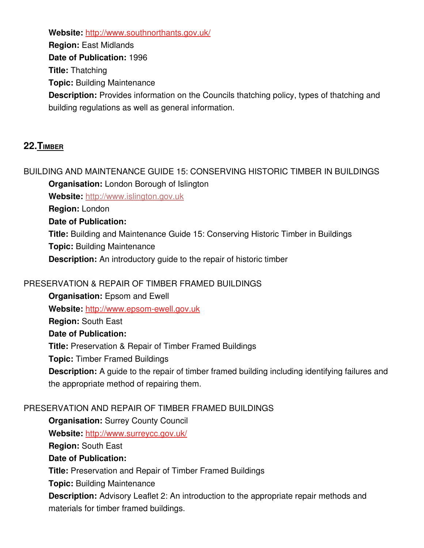**Website:** <http://www.southnorthants.gov.uk/>

**Region:** East Midlands

**Date of Publication:** 1996

**Title:** Thatching

**Topic:** Building Maintenance

**Description:** Provides information on the Councils thatching policy, types of thatching and building regulations as well as general information.

# **22. TIMBER**

BUILDING AND MAINTENANCE GUIDE 15: CONSERVING HISTORIC TIMBER IN BUILDINGS **Organisation:** London Borough of Islington

**Website:** [http://www.islington.gov.uk](http://www.islington.gov.uk/)

**Region:** London

**Date of Publication:**

**Title:** Building and Maintenance Guide 15: Conserving Historic Timber in Buildings

**Topic:** Building Maintenance

**Description:** An introductory guide to the repair of historic timber

## PRESERVATION & REPAIR OF TIMBER FRAMED BUILDINGS

**Organisation: Epsom and Ewell** Website: http://www.epsom-ewell.gov.uk **Region:** South East **Date of Publication: Title:** Preservation & Repair of Timber Framed Buildings **Topic:** Timber Framed Buildings **Description:** A guide to the repair of timber framed building including identifying failures and the appropriate method of repairing them.

## PRESERVATION AND REPAIR OF TIMBER FRAMED BUILDINGS

**Organisation:** Surrey County Council

Website: <http://www.surreycc.gov.uk/>

**Region:** South East

### **Date of Publication:**

**Title:** Preservation and Repair of Timber Framed Buildings

**Topic:** Building Maintenance

**Description:** Advisory Leaflet 2: An introduction to the appropriate repair methods and materials for timber framed buildings.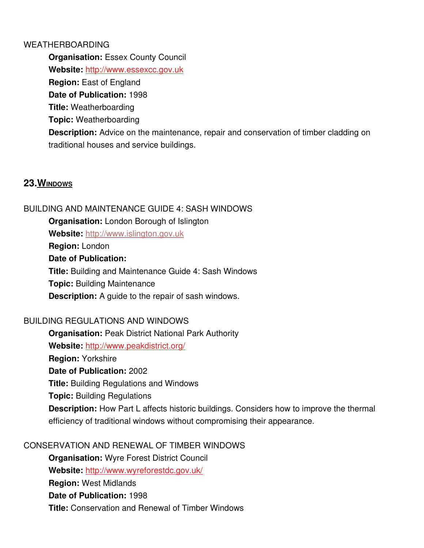#### WEATHERBOARDING

**Organisation: Essex County Council** Website: [http://www.essexcc.gov.uk](http://www.essexcc.gov.uk/) **Region:** East of England **Date of Publication:** 1998 **Title:** Weatherboarding **Topic:** Weatherboarding **Description:** Advice on the maintenance, repair and conservation of timber cladding on traditional houses and service buildings.

## **23. WINDOWS**

### BUILDING AND MAINTENANCE GUIDE 4: SASH WINDOWS

**Organisation:** London Borough of Islington

**Website:** [http://www.islington.gov.uk](http://www.islington.gov.uk/)

**Region:** London

#### **Date of Publication:**

**Title:** Building and Maintenance Guide 4: Sash Windows **Topic:** Building Maintenance **Description:** A guide to the repair of sash windows.

### BUILDING REGULATIONS AND WINDOWS

**Organisation:** Peak District National Park Authority **Website:** <http://www.peakdistrict.org/> **Region:** Yorkshire **Date of Publication:** 2002 **Title:** Building Regulations and Windows **Topic:** Building Regulations **Description:** How Part L affects historic buildings. Considers how to improve the thermal efficiency of traditional windows without compromising their appearance.

### CONSERVATION AND RENEWAL OF TIMBER WINDOWS

**Organisation:** Wyre Forest District Council **Website:** <http://www.wyreforestdc.gov.uk/> **Region:** West Midlands **Date of Publication:** 1998 **Title:** Conservation and Renewal of Timber Windows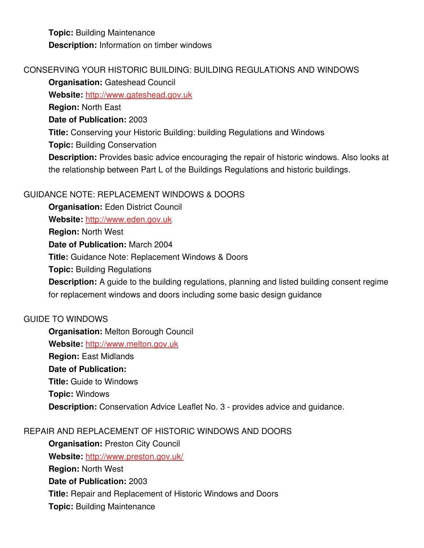**Topic:** Building Maintenance **Description:** Information on timber windows

## CONSERVING YOUR HISTORIC BUILDING: BUILDING REGULATIONS AND WINDOWS

**Organisation: Gateshead Council** 

**Website:** [http://www.gateshead.gov.uk](http://www.gateshead.gov.uk/)

**Region:** North East

**Date of Publication:** 2003

**Title:** Conserving your Historic Building: building Regulations and Windows

**Topic:** Building Conservation

**Description:** Provides basic advice encouraging the repair of historic windows. Also looks at the relationship between Part L of the Buildings Regulations and historic buildings.

## GUIDANCE NOTE: REPLACEMENT WINDOWS & DOORS

**Organisation:** Eden District Council **Website:** [http://www.eden.gov.uk](http://www.eden.gov.uk/) **Region:** North West **Date of Publication:** March 2004 **Title:** Guidance Note: Replacement Windows & Doors **Topic:** Building Regulations **Description:** A guide to the building regulations, planning and listed building consent regime for replacement windows and doors including some basic design guidance

### GUIDE TO WINDOWS

**Organisation:** Melton Borough Council **Website:** [http://www.melton.gov.uk](http://www.melton.gov.uk/) **Region:** East Midlands **Date of Publication: Title:** Guide to Windows **Topic:** Windows **Description:** Conservation Advice Leaflet No. 3 - provides advice and guidance.

## REPAIR AND REPLACEMENT OF HISTORIC WINDOWS AND DOORS

**Organisation: Preston City Council Website:** <http://www.preston.gov.uk/> **Region:** North West **Date of Publication:** 2003 **Title:** Repair and Replacement of Historic Windows and Doors **Topic:** Building Maintenance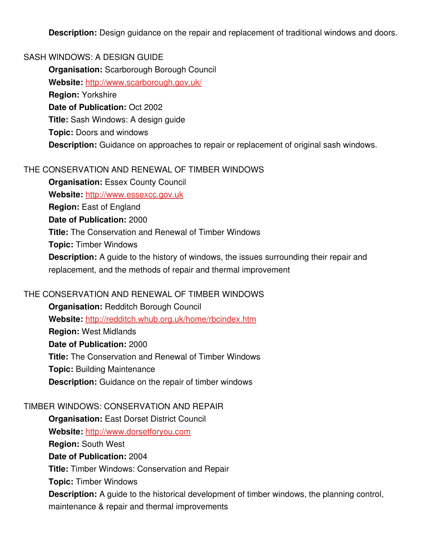**Description:** Design guidance on the repair and replacement of traditional windows and doors.

#### SASH WINDOWS: A DESIGN GUIDE

**Organisation:** Scarborough Borough Council

**Website:** <http://www.scarborough.gov.uk/>

**Region:** Yorkshire

**Date of Publication:** Oct 2002

**Title:** Sash Windows: A design guide

**Topic:** Doors and windows

**Description:** Guidance on approaches to repair or replacement of original sash windows.

### THE CONSERVATION AND RENEWAL OF TIMBER WINDOWS

**Organisation:** Essex County Council Website: [http://www.essexcc.gov.uk](http://www.essexcc.gov.uk/) **Region:** East of England **Date of Publication:** 2000 **Title:** The Conservation and Renewal of Timber Windows **Topic:** Timber Windows **Description:** A guide to the history of windows, the issues surrounding their repair and replacement, and the methods of repair and thermal improvement

### THE CONSERVATION AND RENEWAL OF TIMBER WINDOWS

**Organisation:** Redditch Borough Council **Website:** <http://redditch.whub.org.uk/home/rbcindex.htm> **Region:** West Midlands **Date of Publication:** 2000 **Title:** The Conservation and Renewal of Timber Windows **Topic:** Building Maintenance **Description:** Guidance on the repair of timber windows

### TIMBER WINDOWS: CONSERVATION AND REPAIR

**Organisation:** East Dorset District Council **Website:** [http://www.dorsetforyou.com](http://www.dorsetforyou.com/) **Region:** South West **Date of Publication:** 2004 **Title:** Timber Windows: Conservation and Repair **Topic:** Timber Windows **Description:** A guide to the historical development of timber windows, the planning control, maintenance & repair and thermal improvements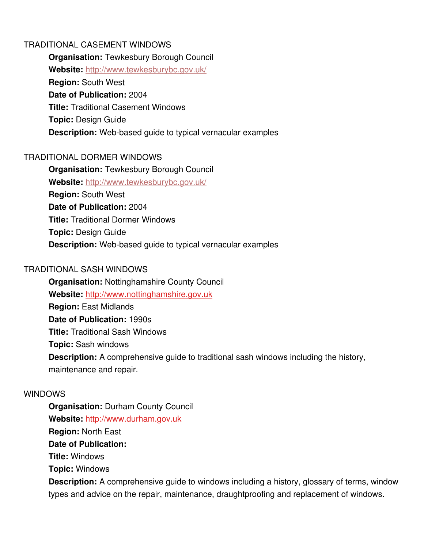### TRADITIONAL CASEMENT WINDOWS

**Organisation:** Tewkesbury Borough Council **Website:** <http://www.tewkesburybc.gov.uk/> **Region:** South West **Date of Publication:** 2004 **Title:** Traditional Casement Windows **Topic:** Design Guide **Description:** Web-based guide to typical vernacular examples

#### TRADITIONAL DORMER WINDOWS

**Organisation:** Tewkesbury Borough Council **Website:** <http://www.tewkesburybc.gov.uk/> **Region:** South West **Date of Publication:** 2004 **Title:** Traditional Dormer Windows **Topic:** Design Guide **Description:** Web-based guide to typical vernacular examples

#### TRADITIONAL SASH WINDOWS

**Organisation:** Nottinghamshire County Council **Website:** [http://www.nottinghamshire.gov.uk](http://www.nottinghamshire.gov.uk/) **Region:** East Midlands **Date of Publication:** 1990s **Title:** Traditional Sash Windows **Topic:** Sash windows **Description:** A comprehensive guide to traditional sash windows including the history, maintenance and repair.

#### WINDOWS

**Organisation: Durham County Council Website:** [http://www.durham.gov.uk](http://www.durham.gov.uk/) **Region:** North East **Date of Publication: Title:** Windows **Topic:** Windows

**Description:** A comprehensive guide to windows including a history, glossary of terms, window types and advice on the repair, maintenance, draughtproofing and replacement of windows.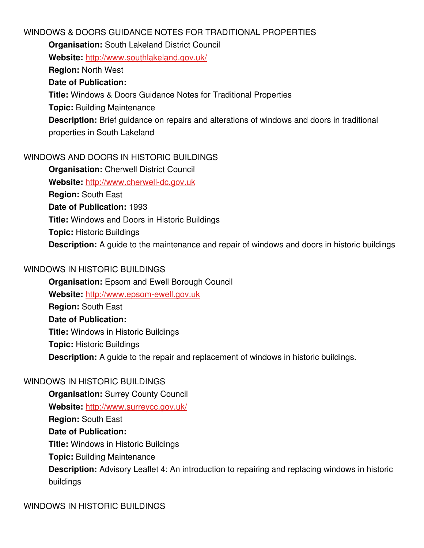### WINDOWS & DOORS GUIDANCE NOTES FOR TRADITIONAL PROPERTIES

**Organisation:** South Lakeland District Council

**Website:** <http://www.southlakeland.gov.uk/>

**Region:** North West

## **Date of Publication:**

**Title:** Windows & Doors Guidance Notes for Traditional Properties

**Topic:** Building Maintenance

**Description:** Brief guidance on repairs and alterations of windows and doors in traditional properties in South Lakeland

## WINDOWS AND DOORS IN HISTORIC BUILDINGS

**Organisation: Cherwell District Council** Website: http://www.cherwell-dc.gov.uk **Region:** South East **Date of Publication:** 1993 **Title:** Windows and Doors in Historic Buildings **Topic:** Historic Buildings **Description:** A guide to the maintenance and repair of windows and doors in historic buildings

## WINDOWS IN HISTORIC BUILDINGS

**Organisation:** Epsom and Ewell Borough Council Website: http://www.epsom-ewell.gov.uk **Region:** South East **Date of Publication: Title:** Windows in Historic Buildings **Topic:** Historic Buildings **Description:** A guide to the repair and replacement of windows in historic buildings.

## WINDOWS IN HISTORIC BUILDINGS

**Organisation:** Surrey County Council **Website:** <http://www.surreycc.gov.uk/> **Region:** South East **Date of Publication: Title:** Windows in Historic Buildings **Topic:** Building Maintenance **Description:** Advisory Leaflet 4: An introduction to repairing and replacing windows in historic buildings

WINDOWS IN HISTORIC BUILDINGS